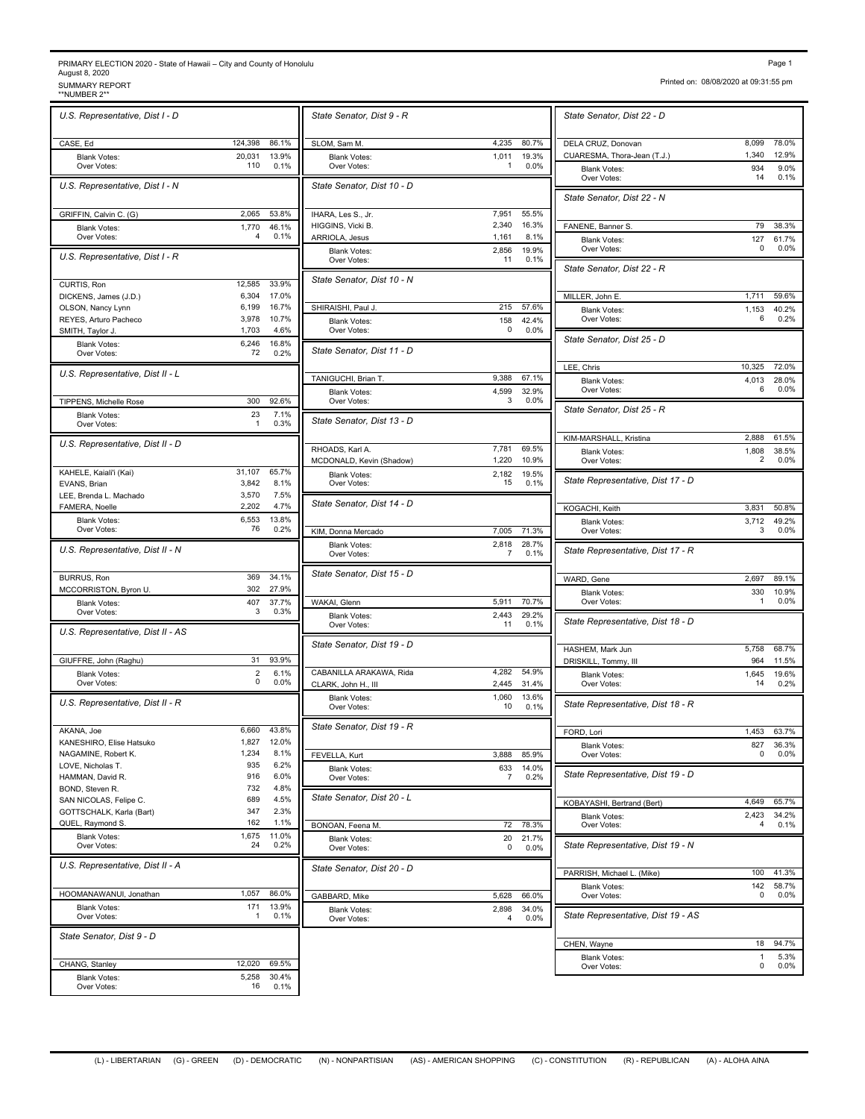## PRIMARY ELECTION 2020 - State of Hawaii – City and County of Honolulu<br>August 8, 2020<br>\*\*NUMBER 2\*\* SURPORT<br>\*\*NUMBER 2\*\* SURPORT

| Page | ٠ |
|------|---|
|      |   |

Printed on: 08/08/2020 at 09:31:55 pm

<u> The Common Section of the Common Section of the Common Section of the Common Section of the Common Section of</u>

| U.S. Representative, Dist I - D                    |                     |                | State Senator, Dist 9 - R                      |
|----------------------------------------------------|---------------------|----------------|------------------------------------------------|
| CASE, Ed                                           | 124,398             | 86.1%          | SLOM, Sam M.                                   |
| <b>Blank Votes:</b><br>Over Votes:                 | 20,031<br>110       | 13.9%<br>0.1%  | <b>Blank Votes:</b><br>Over Votes:             |
| U.S. Representative, Dist I - N                    |                     |                | State Senator, Dist 10 - D                     |
| GRIFFIN, Calvin C. (G)                             | 2,065               | 53.8%          | IHARA, Les S., Jr.                             |
| <b>Blank Votes:</b><br>Over Votes:                 | 1,770<br>4          | 46.1%<br>0.1%  | HIGGINS, Vicki B.<br>ARRIOLA, Jesus            |
| U.S. Representative, Dist I - R                    |                     |                | <b>Blank Votes:</b><br>Over Votes:             |
| CURTIS, Ron<br>DICKENS, James (J.D.)               | 12,585<br>6,304     | 33.9%<br>17.0% | State Senator, Dist 10 - N                     |
| OLSON, Nancy Lynn                                  | 6,199               | 16.7%          | SHIRAISHI, Paul J.                             |
| REYES, Arturo Pacheco                              | 3,978               | 10.7%          | <b>Blank Votes:</b>                            |
| SMITH, Taylor J.                                   | 1,703               | 4.6%           | Over Votes:                                    |
| <b>Blank Votes:</b><br>Over Votes:                 | 6,246<br>72         | 16.8%<br>0.2%  | State Senator, Dist 11 - D                     |
| U.S. Representative, Dist II - L                   |                     |                | TANIGUCHI, Brian T.                            |
| TIPPENS, Michelle Rose                             | 300                 | 92.6%          | Blank Votes:<br>Over Votes:                    |
| <b>Blank Votes:</b><br>Over Votes:                 | 23<br>1             | 7.1%<br>0.3%   | State Senator, Dist 13 - D                     |
| U.S. Representative, Dist II - D                   |                     |                | RHOADS, Karl A.                                |
| KAHELE, Kaiali'i (Kai)                             | 31,107              | 65.7%          | MCDONALD, Kevin (Shadow)                       |
| EVANS, Brian                                       | 3,842               | 8.1%           | <b>Blank Votes:</b><br>Over Votes:             |
| LEE, Brenda L. Machado                             | 3,570               | 7.5%           | State Senator, Dist 14 - D                     |
| FAMERA, Noelle<br><b>Blank Votes:</b>              | 2,202<br>6,553      | 4.7%<br>13.8%  |                                                |
| Over Votes:                                        | 76                  | 0.2%           | KIM, Donna Mercado                             |
| U.S. Representative, Dist II - N                   |                     |                | <b>Blank Votes:</b><br>Over Votes:             |
| <b>BURRUS, Ron</b>                                 | 369<br>302          | 34.1%          | State Senator, Dist 15 - D                     |
| MCCORRISTON, Byron U.<br><b>Blank Votes:</b>       | 407                 | 27.9%<br>37.7% | WAKAI, Glenn                                   |
| Over Votes:                                        | 3                   | 0.3%           | <b>Blank Votes:</b><br>Over Votes:             |
| U.S. Representative, Dist II - AS                  |                     |                | State Senator, Dist 19 - D                     |
| GIUFFRE, John (Raghu)                              | 31                  | 93.9%          |                                                |
| <b>Blank Votes:</b><br>Over Votes:                 | $\overline{2}$<br>0 | 6.1%<br>0.0%   | CABANILLA ARAKAWA, Rida<br>CLARK, John H., III |
| U.S. Representative, Dist II - R                   |                     |                | <b>Blank Votes:</b><br>Over Votes:             |
| AKANA, Joe                                         | 6,660               | 43.8%          | State Senator, Dist 19 - R                     |
| KANESHIRO, Elise Hatsuko                           | 1,827               | 12.0%          |                                                |
| NAGAMINE, Robert K.<br>LOVE, Nicholas T.           | 1,234<br>935        | 8.1%<br>6.2%   | FEVELLA, Kurt                                  |
| HAMMAN, David R.                                   | 916                 | 6.0%           | <b>Blank Votes:</b><br>Over Votes:             |
| BOND, Steven R.                                    | 732                 | 4.8%           | State Senator, Dist 20 - L                     |
| SAN NICOLAS, Felipe C.<br>GOTTSCHALK, Karla (Bart) | 689<br>347          | 4.5%<br>2.3%   |                                                |
| QUEL, Raymond S.                                   | 162                 | 1.1%           | BONOAN, Feena M.                               |
| <b>Blank Votes:</b><br>Over Votes:                 | 1,675<br>24         | 11.0%<br>0.2%  | Blank Votes:<br>Over Votes:                    |
| U.S. Representative, Dist II - A                   |                     |                | State Senator, Dist 20 - D                     |
| HOOMANAWANUI, Jonathan                             | 1,057               | 86.0%          | GABBARD, Mike                                  |
| <b>Blank Votes:</b><br>Over Votes:                 | 171<br>1            | 13.9%<br>0.1%  | <b>Blank Votes:</b><br>Over Votes:             |
| State Senator, Dist 9 - D                          |                     |                |                                                |
| CHANG, Stanley                                     | 12,020              | 69.5%          |                                                |
| <b>Blank Votes:</b>                                | 5,258               | 30.4%          |                                                |
| Over Votes:                                        | 16                  | 0.1%           |                                                |

|                       | State Senator, Dist 9 - R                              |                                  | State Senator, Dist 22 - D                         |
|-----------------------|--------------------------------------------------------|----------------------------------|----------------------------------------------------|
| 86.1%                 | SLOM, Sam M.                                           | 4,235<br>80.7%                   | DELA CRUZ, Donovan                                 |
| 13.9%<br>0.1%         | <b>Blank Votes:</b><br>Over Votes:                     | 1.011<br>19.3%<br>0.0%<br>1      | CUARESMA, Thora-Jean (T.J.)<br><b>Blank Votes:</b> |
|                       | State Senator, Dist 10 - D                             |                                  | Over Votes:<br>State Senator, Dist 22 - N          |
| 53.8%                 | IHARA, Les S., Jr.                                     | 7,951<br>55.5%<br>2,340          |                                                    |
| 46.1%<br>0.1%         | HIGGINS, Vicki B.<br>ARRIOLA, Jesus                    | 16.3%<br>1,161<br>8.1%           | FANENE, Banner S.<br><b>Blank Votes:</b>           |
|                       | <b>Blank Votes:</b><br>Over Votes:                     | 19.9%<br>2,856<br>11<br>0.1%     | Over Votes:                                        |
| 33.9%                 | State Senator, Dist 10 - N                             |                                  | State Senator, Dist 22 - R                         |
| 17.0%<br>16.7%        | SHIRAISHI, Paul J.                                     | 215<br>57.6%                     | MILLER, John E.                                    |
| 10.7%                 | <b>Blank Votes:</b>                                    | 158<br>42.4%                     | <b>Blank Votes:</b><br>Over Votes:                 |
| 4.6%<br>16.8%<br>0.2% | Over Votes:<br>State Senator, Dist 11 - D              | 0.0%<br>0                        | State Senator, Dist 25 - D                         |
|                       |                                                        |                                  | LEE, Chris                                         |
|                       | TANIGUCHI, Brian T.                                    | 9,388<br>67.1%                   | <b>Blank Votes:</b><br>Over Votes:                 |
| 92.6%                 | <b>Blank Votes:</b><br>Over Votes:                     | 4,599<br>32.9%<br>0.0%<br>3      |                                                    |
| 7.1%<br>0.3%          | State Senator, Dist 13 - D                             |                                  | State Senator, Dist 25 - R                         |
|                       | RHOADS, Karl A.                                        | 7.781<br>69.5%                   | KIM-MARSHALL, Kristina                             |
|                       | MCDONALD, Kevin (Shadow)                               | 1,220<br>10.9%                   | <b>Blank Votes:</b><br>Over Votes:                 |
| 65.7%<br>8.1%         | <b>Blank Votes:</b><br>Over Votes:                     | 2,182<br>19.5%<br>15<br>0.1%     | State Representative, Dist                         |
| 7.5%<br>4.7%          | State Senator, Dist 14 - D                             |                                  | KOGACHI, Keith                                     |
| 13.8%<br>0.2%         | KIM, Donna Mercado                                     | 7,005<br>71.3%                   | <b>Blank Votes:</b><br>Over Votes:                 |
|                       | <b>Blank Votes:</b><br>Over Votes:                     | 2,818<br>28.7%<br>7<br>0.1%      | State Representative, Dist 1                       |
| 34.1%                 | State Senator, Dist 15 - D                             |                                  | WARD, Gene                                         |
| 27.9%<br>37.7%        | WAKAI, Glenn                                           | 5,911<br>70.7%                   | <b>Blank Votes:</b><br>Over Votes:                 |
| 0.3%                  | <b>Blank Votes:</b><br>Over Votes:                     | 29.2%<br>2,443<br>11<br>0.1%     | State Representative, Dist                         |
|                       | State Senator, Dist 19 - D                             |                                  | HASHEM, Mark Jun                                   |
| 93.9%<br>6.1%         | CABANILLA ARAKAWA, Rida                                | 4,282<br>54.9%                   | DRISKILL, Tommy, III                               |
| 0.0%                  | CLARK, John H., III                                    | 2,445<br>31.4%                   | <b>Blank Votes:</b><br>Over Votes:                 |
|                       | <b>Blank Votes:</b><br>Over Votes:                     | 1,060<br>13.6%<br>0.1%<br>10     | State Representative, Dist                         |
| 43.8%                 | State Senator, Dist 19 - R                             |                                  | FORD, Lori                                         |
| 12.0%<br>8.1%         | FEVELLA, Kurt                                          | 3,888<br>85.9%                   | <b>Blank Votes:</b><br>Over Votes:                 |
| 6.2%<br>6.0%          | <b>Blank Votes:</b><br>Over Votes:                     | 633<br>14.0%<br>0.2%<br>7        | State Representative, Dist                         |
| 4.8%<br>4.5%          | State Senator, Dist 20 - L                             |                                  | KOBAYASHI, Bertrand (Bert)                         |
| 2.3%<br>1.1%          |                                                        | 72<br>78.3%                      | <b>Blank Votes:</b><br>Over Votes:                 |
| 11.0%<br>0.2%         | BONOAN, Feena M.<br><b>Blank Votes:</b><br>Over Votes: | 20<br>21.7%<br>0.0%<br>0         | State Representative, Dist                         |
|                       | State Senator, Dist 20 - D                             |                                  |                                                    |
|                       |                                                        |                                  | PARRISH, Michael L. (Mike)<br><b>Blank Votes:</b>  |
| 86.0%<br>13.9%        | GABBARD, Mike<br><b>Blank Votes:</b>                   | 5,628<br>66.0%<br>2,898<br>34.0% | Over Votes:                                        |
| 0.1%                  | Over Votes:                                            | 0.0%<br>4                        | State Representative, Dist                         |
|                       |                                                        |                                  | CHEN, Wayne<br><b>Blank Votes:</b>                 |
|                       |                                                        |                                  |                                                    |

| State Senator, Dist 22 - D                    |              |                  |
|-----------------------------------------------|--------------|------------------|
| DELA CRUZ, Donovan                            | 8,099        | 78.0%            |
| CUARESMA, Thora-Jean (T.J.)                   | 1,340        | 12.9%            |
| <b>Blank Votes:</b><br>Over Votes:            | 934<br>14    | 9.0%<br>0.1%     |
| State Senator, Dist 22 - N                    |              |                  |
| FANENE, Banner S.                             | 79           | 38.3%            |
| <b>Blank Votes:</b><br>Over Votes:            | 127<br>0     | 61.7%<br>0.0%    |
| State Senator, Dist 22 - R                    |              |                  |
|                                               | 1,711        | 59.6%            |
| MILLER, John E.<br><b>Blank Votes:</b>        | 1,153        | 40.2%            |
| Over Votes:                                   | 6            | 0.2%             |
| State Senator, Dist 25 - D                    |              |                  |
| LEE, Chris                                    | 10,325       | 72.0%            |
| <b>Blank Votes:</b><br>Over Votes:            | 4,013<br>6   | 28.0%<br>0.0%    |
| State Senator, Dist 25 - R                    |              |                  |
|                                               | 2,888        | 61.5%            |
| KIM-MARSHALL, Kristina<br><b>Blank Votes:</b> | 1,808        | 38.5%            |
| Over Votes:                                   | 2            | 0.0%             |
| State Representative, Dist 17 - D             |              |                  |
| KOGACHI, Keith                                | 3,831        | 50.8%            |
| <b>Blank Votes:</b><br>Over Votes:            | 3,712<br>3   | 49.2%<br>$0.0\%$ |
| State Representative, Dist 17 - R             |              |                  |
| WARD, Gene                                    | 2,697        | 89.1%            |
| <b>Blank Votes:</b>                           | 330          | 10.9%            |
| Over Votes:                                   | 1            | 0.0%             |
| State Representative, Dist 18 - D             |              |                  |
| HASHEM, Mark Jun                              | 5,758        | 68.7%            |
| DRISKILL, Tommy, III<br><b>Blank Votes:</b>   | 964<br>1,645 | 11.5%<br>19.6%   |
| Over Votes:                                   | 14           | 0.2%             |
| State Representative, Dist 18 - R             |              |                  |
| FORD, Lori                                    | 1,453        | 63.7%            |
| <b>Blank Votes:</b>                           | 827          | 36.3%            |
| Over Votes:                                   | 0            | 0.0%             |
| State Representative, Dist 19 - D             |              |                  |
| KOBAYASHI, Bertrand (Bert)                    | 4,649        | 65.7%            |
| <b>Blank Votes:</b><br>Over Votes:            | 2,423<br>4   | 34.2%<br>0.1%    |
| State Representative, Dist 19 - N             |              |                  |
| PARRISH, Michael L. (Mike)                    | 100          | 41.3%            |
| <b>Blank Votes:</b><br>Over Votes:            | 142<br>0     | 58.7%<br>$0.0\%$ |
| State Representative, Dist 19 - AS            |              |                  |
|                                               |              |                  |
| CHEN, Wayne                                   | 18<br>1      | 94.7%            |
| <b>Blank Votes:</b><br>Over Votes:            | 0            | 5.3%<br>0.0%     |
|                                               |              |                  |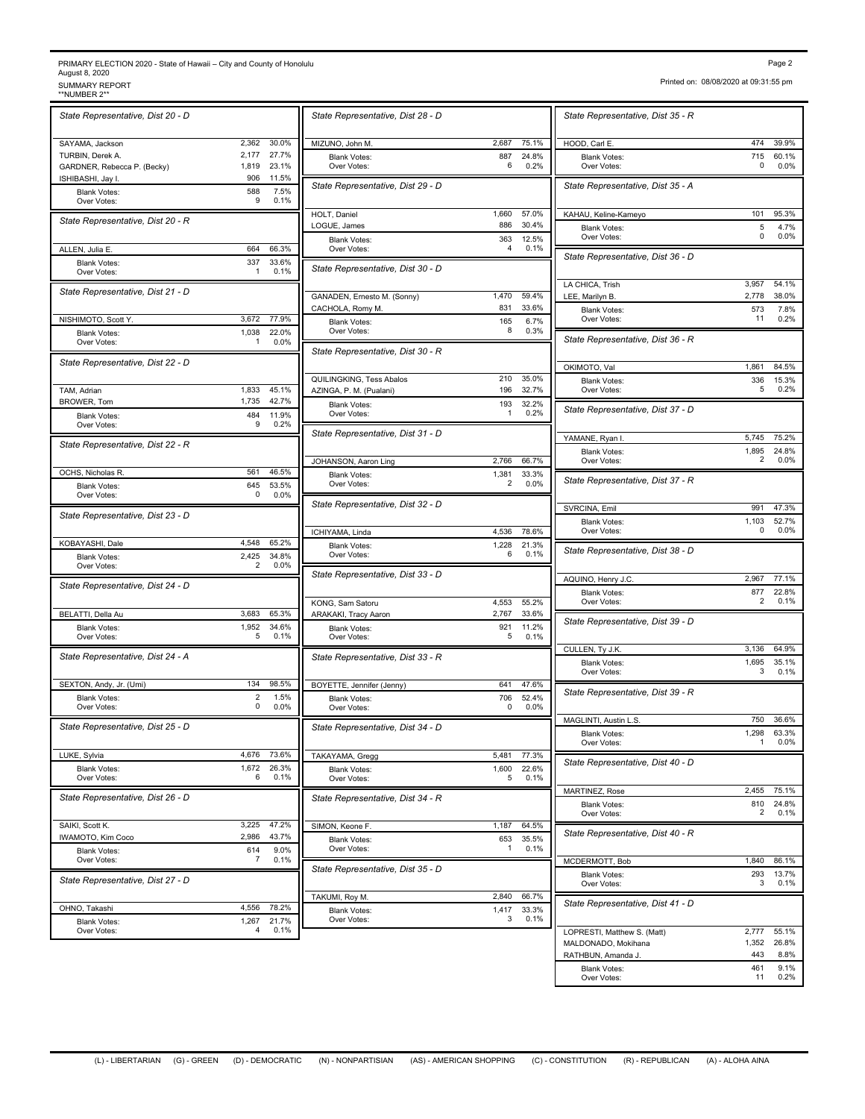## PRIMARY ELECTION 2020 - State of Hawaii – City and County of Honolulu<br>August 8, 2020<br>\*\*NUMBER 2\*\* SURPORT<br>\*\*NUMBER 2\*\* SURPORT

| 'аг<br>ы |  |
|----------|--|
|----------|--|

Printed on: 08/08/2020 at 09:31:55 pm

| State Representative, Dist 20 - D        |                |                | State Representative, Dist 2                        |
|------------------------------------------|----------------|----------------|-----------------------------------------------------|
| SAYAMA, Jackson                          | 2.362          | 30.0%          | MIZUNO, John M.                                     |
| TURBIN, Derek A.                         | 2,177          | 27.7%          | <b>Blank Votes:</b>                                 |
| GARDNER, Rebecca P. (Becky)              | 1,819<br>906   | 23.1%<br>11.5% | Over Votes:                                         |
| ISHIBASHI, Jay I.<br><b>Blank Votes:</b> | 588            | 7.5%           | State Representative, Dist 2                        |
| Over Votes:                              | 9              | 0.1%           |                                                     |
| State Representative, Dist 20 - R        |                |                | HOLT, Daniel                                        |
|                                          |                |                | LOGUE, James                                        |
| ALLEN, Julia E.                          | 664            | 66.3%          | <b>Blank Votes:</b><br>Over Votes:                  |
| <b>Blank Votes:</b>                      | 337            | 33.6%          |                                                     |
| Over Votes:                              | 1              | 0.1%           | State Representative, Dist 3                        |
| State Representative, Dist 21 - D        |                |                | GANADEN, Ernesto M. (Sonny)                         |
| NISHIMOTO, Scott Y.                      | 3,672          | 77.9%          | CACHOLA, Romy M.<br><b>Blank Votes:</b>             |
| <b>Blank Votes:</b>                      | 1,038          | 22.0%          | Over Votes:                                         |
| Over Votes:                              | 1              | 0.0%           |                                                     |
| State Representative, Dist 22 - D        |                |                | State Representative, Dist 3                        |
| TAM, Adrian                              | 1.833          | 45.1%          | QUILINGKING, Tess Abalos<br>AZINGA, P. M. (Pualani) |
| BROWER, Tom                              | 1,735          | 42.7%          | <b>Blank Votes:</b>                                 |
| <b>Blank Votes:</b>                      | 484            | 11.9%          | Over Votes:                                         |
| Over Votes:                              | 9              | 0.2%           | State Representative, Dist 3                        |
| State Representative, Dist 22 - R        |                |                |                                                     |
| OCHS, Nicholas R.                        | 561            | 46.5%          | JOHANSON, Aaron Ling                                |
| <b>Blank Votes:</b>                      | 645            | 53.5%          | <b>Blank Votes:</b><br>Over Votes:                  |
| Over Votes:                              | 0              | 0.0%           |                                                     |
| State Representative, Dist 23 - D        |                |                | State Representative, Dist 3                        |
|                                          |                |                | ICHIYAMA, Linda                                     |
| KOBAYASHI, Dale                          | 4,548<br>2,425 | 65.2%<br>34.8% | <b>Blank Votes:</b><br>Over Votes:                  |
| <b>Blank Votes:</b><br>Over Votes:       | 2              | 0.0%           |                                                     |
| State Representative, Dist 24 - D        |                |                | State Representative, Dist 3                        |
| BELATTI, Della Au                        | 3,683          | 65.3%          | KONG, Sam Satoru<br>ARAKAKI, Tracy Aaron            |
| <b>Blank Votes:</b>                      | 1,952          | 34.6%          | <b>Blank Votes:</b>                                 |
| Over Votes:                              | 5              | 0.1%           | Over Votes:                                         |
| State Representative, Dist 24 - A        |                |                | State Representative, Dist 3                        |
| SEXTON, Andy, Jr. (Umi)                  | 134            | 98.5%          | BOYETTE, Jennifer (Jenny)                           |
| <b>Blank Votes:</b>                      | 2              | 1.5%           | <b>Blank Votes:</b>                                 |
| Over Votes:                              | 0              | 0.0%           | Over Votes:                                         |
| State Representative, Dist 25 - D        |                |                | State Representative, Dist 3                        |
| LUKE, Sylvia                             | 4,676          | 73.6%          | TAKAYAMA, Gregg                                     |
| <b>Blank Votes:</b>                      | 1,672          | 26.3%          | <b>Blank Votes:</b>                                 |
| Over Votes:                              | 6              | 0.1%           | Over Votes:                                         |
| State Representative, Dist 26 - D        |                |                | State Representative, Dist 3                        |
| SAIKI, Scott K.                          | 3,225          | 47.2%          | SIMON, Keone F.                                     |
| IWAMOTO, Kim Coco                        | 2,986          | 43.7%          | <b>Blank Votes:</b>                                 |
| <b>Blank Votes:</b><br>Over Votes:       | 614<br>7       | 9.0%<br>0.1%   | Over Votes:<br>State Representative, Dist 3         |
| State Representative, Dist 27 - D        |                |                |                                                     |
| OHNO, Takashi                            | 4,556          | 78.2%          | TAKUMI, Roy M.                                      |
| <b>Blank Votes:</b>                      | 1,267          | 21.7%          | <b>Blank Votes:</b><br>Over Votes:                  |
| Over Votes:                              | 4              | 0.1%           |                                                     |
|                                          |                |                |                                                     |

| State Representative, Dist 28 - D                |                |                | State Representative, Dist 3           |
|--------------------------------------------------|----------------|----------------|----------------------------------------|
| MIZUNO, John M.                                  | 2,687          | 75.1%          | HOOD, Carl E                           |
| <b>Blank Votes:</b><br>Over Votes:               | 887<br>6       | 24.8%<br>0.2%  | <b>Blank Votes:</b><br>Over Votes:     |
| State Representative, Dist 29 - D                |                |                | State Representative, Dist 3           |
| HOLT, Daniel                                     | 1,660          | 57.0%          | KAHAU, Keline-Kameyo                   |
| LOGUE, James<br><b>Blank Votes:</b>              | 886<br>363     | 30.4%<br>12.5% | <b>Blank Votes:</b><br>Over Votes:     |
| Over Votes:<br>State Representative, Dist 30 - D | 4              | 0.1%           | State Representative, Dist 3           |
|                                                  |                | 59.4%          | LA CHICA, Trish                        |
| GANADEN, Ernesto M. (Sonny)<br>CACHOLA, Romy M.  | 1,470<br>831   | 33.6%          | LEE, Marilyn B.<br><b>Blank Votes:</b> |
| <b>Blank Votes:</b><br>Over Votes:               | 165<br>8       | 6.7%<br>0.3%   | Over Votes:                            |
| State Representative, Dist 30 - R                |                |                | State Representative, Dist 3           |
| QUILINGKING, Tess Abalos                         | 210            | 35.0%          | OKIMOTO, Val                           |
| AZINGA, P. M. (Pualani)                          | 196            | 32.7%          | <b>Blank Votes:</b><br>Over Votes:     |
| <b>Blank Votes:</b><br>Over Votes:               | 193<br>1       | 32.2%<br>0.2%  | State Representative, Dist :           |
| State Representative, Dist 31 - D                |                |                | YAMANE, Ryan I.                        |
| JOHANSON, Aaron Ling                             | 2,766          | 66.7%          | <b>Blank Votes:</b><br>Over Votes:     |
| <b>Blank Votes:</b><br>Over Votes:               | 1,381<br>2     | 33.3%<br>0.0%  | State Representative, Dist 3           |
| State Representative, Dist 32 - D                |                |                | SVRCINA, Emil                          |
|                                                  | 4,536          | 78.6%          | <b>Blank Votes:</b><br>Over Votes:     |
| ICHIYAMA, Linda<br><b>Blank Votes:</b>           | 1,228          | 21.3%          | State Representative, Dist 3           |
| Over Votes:                                      | 6              | 0.1%           |                                        |
| State Representative, Dist 33 - D                |                |                | AQUINO, Henry J.C.                     |
| KONG, Sam Satoru                                 | 4,553          | 55.2%          | <b>Blank Votes:</b><br>Over Votes:     |
| ARAKAKI, Tracy Aaron<br><b>Blank Votes:</b>      | 2,767<br>921   | 33.6%<br>11.2% | State Representative, Dist 3           |
| Over Votes:                                      | 5              | 0.1%           | CULLEN, Ty J.K.                        |
| State Representative, Dist 33 - R                |                |                | <b>Blank Votes:</b>                    |
| BOYETTE, Jennifer (Jenny)                        | 641            | 47.6%          | Over Votes:                            |
| <b>Blank Votes:</b><br>Over Votes:               | 706<br>0       | 52.4%<br>0.0%  | State Representative, Dist 3           |
| State Representative, Dist 34 - D                |                |                | MAGLINTI, Austin L.S.                  |
|                                                  |                |                | <b>Blank Votes:</b><br>Over Votes:     |
| TAKAYAMA, Gregg<br><b>Blank Votes:</b>           | 5,481<br>1,600 | 77.3%<br>22.6% | State Representative, Dist 4           |
| Over Votes:                                      | 5              | 0.1%           | MARTINEZ, Rose                         |
| State Representative, Dist 34 - R                |                |                | <b>Blank Votes:</b><br>Over Votes:     |
| SIMON, Keone F.                                  | 1,187          | 64.5%          | State Representative, Dist 4           |
| <b>Blank Votes:</b><br>Over Votes:               | 653<br>1       | 35.5%<br>0.1%  |                                        |
| State Representative, Dist 35 - D                |                |                | MCDERMOTT, Bob<br><b>Blank Votes:</b>  |
|                                                  |                |                | Over Votes:                            |
| TAKUMI, Roy M.<br><b>Blank Votes:</b>            | 2,840<br>1,417 | 66.7%<br>33.3% | State Representative, Dist 4           |
| Over Votes:                                      | 3              | 0.1%           | LOPRESTI, Matthew S. (Matt)            |
|                                                  |                |                | MALDONADO, Mokihana                    |

| State Representative, Dist 35 - R                |              |                 |
|--------------------------------------------------|--------------|-----------------|
| HOOD, Carl E.                                    | 474          | 39.9%           |
| <b>Blank Votes:</b><br>Over Votes:               | 715<br>0     | 60.1%<br>0.0%   |
| State Representative, Dist 35 - A                |              |                 |
| KAHAU, Keline-Kameyo                             | 101          | 95.3%           |
| <b>Blank Votes:</b><br>Over Votes:               | 5<br>0       | 4.7%<br>$0.0\%$ |
| State Representative, Dist 36 - D                |              |                 |
| LA CHICA, Trish                                  | 3,957        | 54.1%           |
| LEE, Marilyn B.                                  | 2,778        | 38.0%           |
| Blank Votes:<br>Over Votes:                      | 573<br>11    | 7.8%<br>0.2%    |
| State Representative, Dist 36 - R                |              |                 |
| OKIMOTO, Val                                     | 1,861        | 84.5%           |
| <b>Blank Votes:</b><br>Over Votes:               | 336<br>5     | 15.3%<br>0.2%   |
| State Representative, Dist 37 - D                |              |                 |
| YAMANE, Ryan I.                                  | 5,745        | 75.2%           |
| <b>Blank Votes:</b><br>Over Votes:               | 1,895<br>2   | 24.8%<br>0.0%   |
| State Representative, Dist 37 - R                |              |                 |
| SVRCINA, Emil                                    | 991          | 47.3%           |
| Blank Votes:<br>Over Votes:                      | 1,103<br>0   | 52.7%<br>0.0%   |
| State Representative, Dist 38 - D                |              |                 |
|                                                  |              |                 |
| AQUINO, Henry J.C.<br><b>Blank Votes:</b>        | 2,967<br>877 | 77.1%<br>22.8%  |
| Over Votes:                                      | 2            | 0.1%            |
| State Representative, Dist 39 - D                |              |                 |
| CULLEN, Ty J.K.                                  | 3,136        | 64.9%           |
| <b>Blank Votes:</b><br>Over Votes:               | 1,695<br>3   | 35.1%<br>0.1%   |
| State Representative, Dist 39 - R                |              |                 |
| MAGLINTI, Austin L.S.                            | 750          | 36.6%           |
| <b>Blank Votes:</b>                              | 1,298        | 63.3%           |
| Over Votes:<br>State Representative, Dist 40 - D |              | 0.0%            |
|                                                  |              |                 |
| MARTINEZ, Rose<br><b>Blank Votes:</b>            | 2,455<br>810 | 75.1%<br>24.8%  |
| Over Votes:                                      | 2            | 0.1%            |
| State Representative, Dist 40 - R                |              |                 |
| MCDERMOTT, Bob                                   | 1,840        | 86.1%           |
| <b>Blank Votes:</b><br>Over Votes:               | 293<br>3     | 13.7%<br>0.1%   |
| State Representative, Dist 41 - D                |              |                 |
| LOPRESTI, Matthew S. (Matt)                      | 2,777        | 55.1%           |
| MALDONADO, Mokihana                              | 1,352        | 26.8%           |
| RATHBUN, Amanda J.                               | 443<br>461   | 8.8%<br>9.1%    |
| <b>Blank Votes:</b><br>Over Votes:               | 11           | 0.2%            |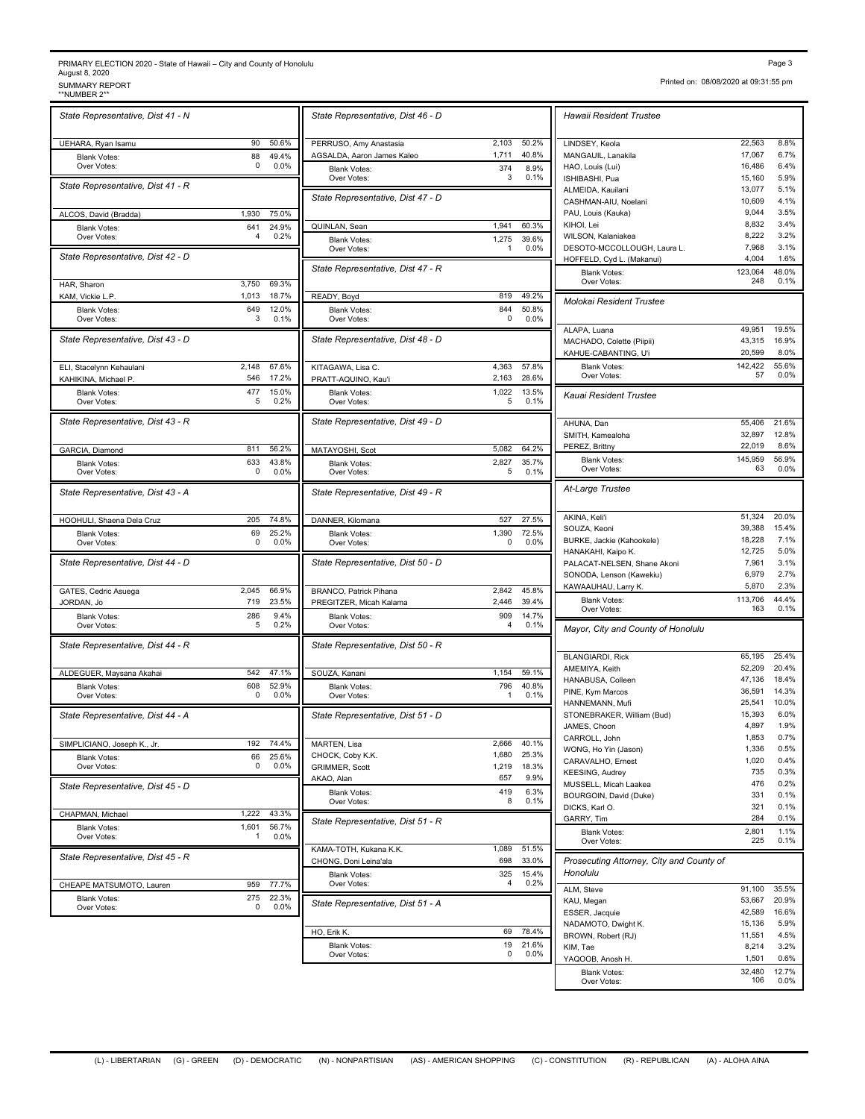## PRIMARY ELECTION 2020 - State of Hawaii – City and County of Honolulu August 8, 2020<br>SUMMARY REPORT<br>\*\*NUMBER 2\*\* PRIMARY ELECTION 2020 - State of Hawaii – City and County of Honolulu<br>August 8, 2020<br>\*NUMBER 2\*\* SUMMARY REPORT<br>\*\*NUMBER 2\*\* SUMMER 2\*\* SUMMARY REPORT PAGE 3.1:55 pm

| State Representative, Dist 41 - N  |                 |                | State Representative, Dist 4                    |
|------------------------------------|-----------------|----------------|-------------------------------------------------|
| UEHARA, Ryan Isamu                 | 90              | 50.6%          | PERRUSO, Amy Anastasia                          |
| <b>Blank Votes:</b>                | 88              | 49.4%          | AGSALDA, Aaron James Kaleo                      |
| Over Votes:                        | $\Omega$        | 0.0%           | <b>Blank Votes:</b>                             |
| State Representative, Dist 41 - R  |                 |                | Over Votes:<br>State Representative, Dist 4     |
| ALCOS, David (Bradda)              | 1,930           | 75.0%          |                                                 |
| <b>Blank Votes:</b>                | 641             | 24.9%          | QUINLAN, Sean                                   |
| Over Votes:                        | 4               | 0.2%           | <b>Blank Votes:</b><br>Over Votes:              |
| State Representative, Dist 42 - D  |                 |                | State Representative, Dist 4                    |
| HAR, Sharon                        | 3.750           | 69.3%          |                                                 |
| KAM, Vickie L.P.                   | 1,013           | 18.7%          | READY, Boyd                                     |
| <b>Blank Votes:</b><br>Over Votes: | 649<br>3        | 12.0%<br>0.1%  | <b>Blank Votes:</b><br>Over Votes:              |
|                                    |                 |                |                                                 |
| State Representative, Dist 43 - D  |                 |                | State Representative, Dist 4                    |
| ELI, Stacelynn Kehaulani           | 2,148           | 67.6%          | KITAGAWA, Lisa C.                               |
| KAHIKINA, Michael P.               | 546             | 17.2%          | PRATT-AQUINO, Kau'i                             |
| <b>Blank Votes:</b><br>Over Votes: | 477<br>5        | 15.0%<br>0.2%  | <b>Blank Votes:</b><br>Over Votes:              |
| State Representative, Dist 43 - R  |                 |                | State Representative, Dist 4                    |
| GARCIA, Diamond                    | 811             | 56.2%          | MATAYOSHI, Scot                                 |
| <b>Blank Votes:</b>                | 633<br>$\Omega$ | 43.8%          | <b>Blank Votes:</b>                             |
| Over Votes:                        |                 | 0.0%           | Over Votes:                                     |
| State Representative, Dist 43 - A  |                 |                | State Representative, Dist 4                    |
| HOOHULI, Shaena Dela Cruz          | 205             | 74.8%          | DANNER, Kilomana                                |
| <b>Blank Votes:</b><br>Over Votes: | 69<br>0         | 25.2%<br>0.0%  | <b>Blank Votes:</b><br>Over Votes:              |
| State Representative, Dist 44 - D  |                 |                | State Representative, Dist &                    |
| GATES, Cedric Asuega               | 2,045           | 66.9%          | BRANCO, Patrick Pihana                          |
| JORDAN, Jo                         | 719             | 23.5%          | PREGITZER, Micah Kalama                         |
| <b>Blank Votes:</b>                | 286             | 9.4%           | <b>Blank Votes:</b>                             |
| Over Votes:                        | 5               | 0.2%           | Over Votes:                                     |
| State Representative, Dist 44 - R  |                 |                | State Representative, Dist &                    |
| ALDEGUER, Maysana Akahai           | 542             | 47.1%          | SOUZA, Kanani                                   |
| <b>Blank Votes:</b>                | 608             | 52.9%          | <b>Blank Votes:</b>                             |
| Over Votes:                        | 0               | 0.0%           | Over Votes:                                     |
| State Representative, Dist 44 - A  |                 |                | State Representative, Dist &                    |
| SIMPLICIANO, Joseph K., Jr.        | 192             | 74.4%          | MARTEN, Lisa                                    |
| <b>Blank Votes:</b>                | 66              | 25.6%          | CHOCK, Coby K.K.                                |
| Over Votes:                        | 0               | 0.0%           | <b>GRIMMER, Scott</b>                           |
| State Representative, Dist 45 - D  |                 |                | AKAO, Alan                                      |
|                                    |                 |                | <b>Blank Votes:</b><br>Over Votes:              |
| CHAPMAN, Michael                   | 1,222<br>1.601  | 43.3%<br>56.7% | State Representative, Dist &                    |
| <b>Blank Votes:</b><br>Over Votes: | 1               | 0.0%           |                                                 |
| State Representative, Dist 45 - R  |                 |                | KAMA-TOTH, Kukana K.K.<br>CHONG, Doni Leina'ala |
| CHEAPE MATSUMOTO, Lauren           | 959             | 77.7%          | <b>Blank Votes:</b><br>Over Votes:              |
| <b>Blank Votes:</b>                | 275             | 22.3%          |                                                 |
| Over Votes:                        | 0               | 0.0%           | State Representative, Dist &                    |

| State Representative, Dist 46 - D  |              |              | Hawaii Resident Trustee                   |                  |                |
|------------------------------------|--------------|--------------|-------------------------------------------|------------------|----------------|
| PERRUSO, Amy Anastasia             | 2,103        | 50.2%        | LINDSEY, Keola                            | 22,563           | 8.8%           |
| AGSALDA, Aaron James Kaleo         | 1,711        | 40.8%        | MANGAUIL, Lanakila                        | 17,067           | 6.7%           |
| <b>Blank Votes:</b>                | 374          | 8.9%         | HAO, Louis (Lui)                          | 16,486           | 6.4%           |
| Over Votes:                        | 3            | 0.1%         | ISHIBASHI, Pua                            | 15,160           | 5.9%           |
| State Representative, Dist 47 - D  |              |              | ALMEIDA, Kauilani                         | 13,077           | 5.1%           |
|                                    |              |              | CASHMAN-AIU, Noelani                      | 10,609           | 4.1%           |
|                                    |              |              | PAU, Louis (Kauka)                        | 9,044            | 3.5%           |
| QUINLAN, Sean                      | 1,941        | 60.3%        | KIHOI, Lei                                | 8,832            | 3.4%           |
| <b>Blank Votes:</b>                | 1,275        | 39.6%        | WILSON, Kalaniakea                        | 8,222            | 3.2%           |
| Over Votes:                        | $\mathbf{1}$ | 0.0%         | DESOTO-MCCOLLOUGH, Laura L.               | 7,968            | 3.1%           |
| State Representative, Dist 47 - R  |              |              | HOFFELD, Cyd L. (Makanui)                 | 4,004            | 1.6%           |
|                                    |              |              | <b>Blank Votes:</b><br>Over Votes:        | 123,064<br>248   | 48.0%<br>0.1%  |
| READY, Boyd                        | 819          | 49.2%        | Molokai Resident Trustee                  |                  |                |
| <b>Blank Votes:</b>                | 844          | 50.8%        |                                           |                  |                |
| Over Votes:                        | 0            | 0.0%         |                                           |                  |                |
| State Representative, Dist 48 - D  |              |              | ALAPA, Luana                              | 49,951           | 19.5%          |
|                                    |              |              | MACHADO, Colette (Piipii)                 | 43,315           | 16.9%          |
|                                    |              |              | KAHUE-CABANTING, U'i                      | 20,599           | 8.0%           |
| KITAGAWA, Lisa C.                  | 4,363        | 57.8%        | <b>Blank Votes:</b>                       | 142,422          | 55.6%          |
| PRATT-AQUINO, Kau'i                | 2,163        | 28.6%        | Over Votes:                               | 57               | 0.0%           |
| <b>Blank Votes:</b>                | 1,022        | 13.5%        | Kauai Resident Trustee                    |                  |                |
| Over Votes:                        | 5            | 0.1%         |                                           |                  |                |
| State Representative, Dist 49 - D  |              |              | AHUNA, Dan                                | 55,406           | 21.6%          |
|                                    |              |              | SMITH, Kamealoha                          | 32,897           | 12.8%          |
| MATAYOSHI, Scot                    | 5,082        | 64.2%        | PEREZ, Brittny                            | 22,019           | 8.6%           |
| <b>Blank Votes:</b>                | 2,827        | 35.7%        | <b>Blank Votes:</b>                       | 145,959          | 56.9%          |
| Over Votes:                        | 5            | 0.1%         | Over Votes:                               | 63               | 0.0%           |
| State Representative, Dist 49 - R  |              |              | At-Large Trustee                          |                  |                |
|                                    |              |              |                                           |                  |                |
| DANNER, Kilomana                   | 527          | 27.5%        | AKINA, Keli'i                             | 51,324           | 20.0%          |
| <b>Blank Votes:</b>                | 1,390        | 72.5%        | SOUZA, Keoni                              | 39,388           | 15.4%          |
| Over Votes:                        | 0            | 0.0%         | BURKE, Jackie (Kahookele)                 | 18,228           | 7.1%           |
|                                    |              |              | HANAKAHI, Kaipo K.                        | 12,725           | 5.0%           |
| State Representative, Dist 50 - D  |              |              | PALACAT-NELSEN, Shane Akoni               | 7,961            | 3.1%           |
|                                    |              |              | SONODA, Lenson (Kawekiu)                  | 6,979            | 2.7%           |
| BRANCO, Patrick Pihana             | 2,842        | 45.8%        | KAWAAUHAU, Larry K.                       | 5,870            | 2.3%           |
| PREGITZER, Micah Kalama            | 2,446        | 39.4%        | <b>Blank Votes:</b>                       | 113,706          | 44.4%          |
| <b>Blank Votes:</b>                | 909          | 14.7%        | Over Votes:                               | 163              | 0.1%           |
| Over Votes:                        | 4            | 0.1%         | Mayor, City and County of Honolulu        |                  |                |
|                                    |              |              |                                           |                  |                |
| State Representative, Dist 50 - R  |              |              |                                           | 65,195           | 25.4%          |
|                                    |              |              | <b>BLANGIARDI, Rick</b>                   |                  |                |
| SOUZA, Kanani                      | 1,154        | 59.1%        | AMEMIYA, Keith                            | 52,209           | 20.4%<br>18.4% |
| <b>Blank Votes:</b>                | 796          | 40.8%        | HANABUSA, Colleen                         | 47,136<br>36,591 | 14.3%          |
| Over Votes:                        | $\mathbf{1}$ | 0.1%         | PINE, Kym Marcos                          |                  |                |
|                                    |              |              | HANNEMANN, Mufi                           | 25,541           | 10.0%          |
| State Representative, Dist 51 - D  |              |              | STONEBRAKER, William (Bud)                | 15,393           | 6.0%           |
|                                    |              |              | JAMES, Choon                              | 4,897            | 1.9%           |
| MARTEN, Lisa                       | 2,666        | 40.1%        | CARROLL, John                             | 1,853            | 0.7%           |
| CHOCK, Coby K.K.                   | 1,680        | 25.3%        | WONG, Ho Yin (Jason)                      | 1,336            | 0.5%           |
| <b>GRIMMER, Scott</b>              | 1,219        | 18.3%        | CARAVALHO, Ernest                         | 1,020            | 0.4%           |
| AKAO, Alan                         | 657          | 9.9%         | <b>KEESING, Audrey</b>                    | 735              | 0.3%           |
|                                    |              |              | MUSSELL, Micah Laakea                     | 476              | 0.2%           |
| <b>Blank Votes:</b><br>Over Votes: | 419<br>8     | 6.3%<br>0.1% | BOURGOIN, David (Duke)                    | 331              | 0.1%           |
|                                    |              |              | DICKS, Karl O.                            | 321              | 0.1%           |
| State Representative, Dist 51 - R  |              |              | GARRY, Tim                                | 284              | 0.1%           |
|                                    |              |              | <b>Blank Votes:</b>                       | 2,801            | 1.1%           |
|                                    |              |              | Over Votes:                               | 225              | 0.1%           |
| KAMA-TOTH, Kukana K.K.             | 1,089        | 51.5%        |                                           |                  |                |
| CHONG, Doni Leina'ala              | 698          | 33.0%        | Prosecuting Attorney, City and County of  |                  |                |
| <b>Blank Votes:</b>                | 325          | 15.4%        | Honolulu                                  |                  |                |
| Over Votes:                        | 4            | 0.2%         | ALM, Steve                                | 91,100           | 35.5%          |
|                                    |              |              | KAU, Megan                                | 53,667           | 20.9%          |
| State Representative, Dist 51 - A  |              |              | ESSER, Jacquie                            | 42,589           | 16.6%          |
|                                    |              |              |                                           | 15,136           | 5.9%           |
| HO, Erik K.                        | 69           | 78.4%        | NADAMOTO, Dwight K.<br>BROWN, Robert (RJ) | 11,551           | 4.5%           |
| <b>Blank Votes:</b>                | 19           | 21.6%        | KIM, Tae                                  | 8,214            | 3.2%           |
| Over Votes:                        | 0            | 0.0%         | YAQOOB, Anosh H.                          | 1,501            | 0.6%           |
|                                    |              |              |                                           |                  |                |
|                                    |              |              |                                           |                  |                |
|                                    |              |              | <b>Blank Votes:</b><br>Over Votes:        | 32,480<br>106    | 12.7%<br>0.0%  |

Printed on: 08/08/2020 at 09:31:55 pm